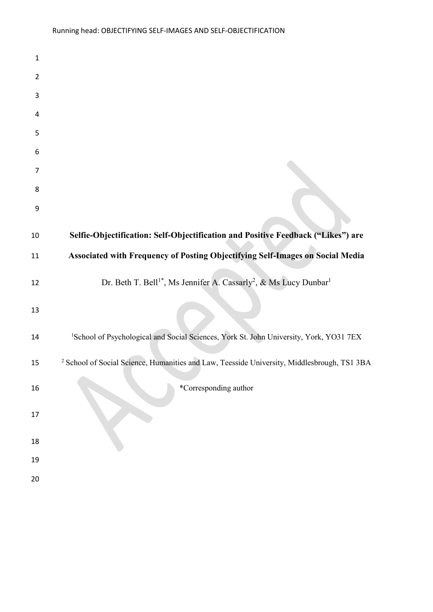| $\mathbf 1$ |                                                                                                        |
|-------------|--------------------------------------------------------------------------------------------------------|
| 2           |                                                                                                        |
| 3           |                                                                                                        |
| 4           |                                                                                                        |
| 5           |                                                                                                        |
| 6           |                                                                                                        |
| 7           |                                                                                                        |
| 8           |                                                                                                        |
| 9           |                                                                                                        |
| 10          | Selfie-Objectification: Self-Objectification and Positive Feedback ("Likes") are                       |
| 11          | Associated with Frequency of Posting Objectifying Self-Images on Social Media                          |
| 12          | Dr. Beth T. Bell <sup>1*</sup> , Ms Jennifer A. Cassarly <sup>2</sup> , & Ms Lucy Dunbar <sup>1</sup>  |
| 13          |                                                                                                        |
| 14          | <sup>1</sup> School of Psychological and Social Sciences, York St. John University, York, YO31 7EX     |
| 15          | <sup>2</sup> School of Social Science, Humanities and Law, Teesside University, Middlesbrough, TS1 3BA |
| 16          | *Corresponding author                                                                                  |
| 17          |                                                                                                        |
| 18          |                                                                                                        |
| 19          |                                                                                                        |
| 20          |                                                                                                        |
|             |                                                                                                        |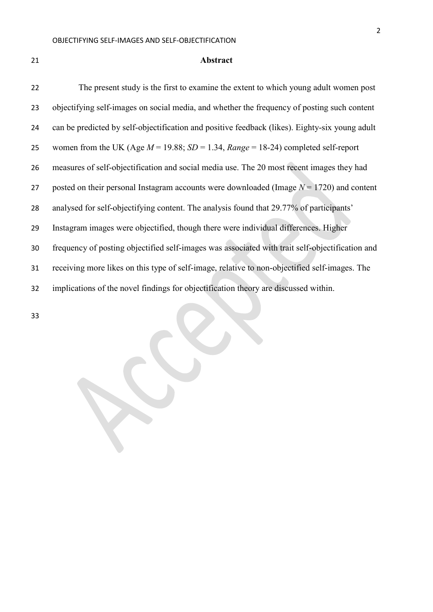#### **Abstract**

 The present study is the first to examine the extent to which young adult women post objectifying self-images on social media, and whether the frequency of posting such content can be predicted by self-objectification and positive feedback (likes). Eighty-six young adult women from the UK (Age *M* = 19.88; *SD* = 1.34, *Range* = 18-24) completed self-report measures of self-objectification and social media use. The 20 most recent images they had posted on their personal Instagram accounts were downloaded (Image *N* = 1720) and content 28 analysed for self-objectifying content. The analysis found that 29.77% of participants' Instagram images were objectified, though there were individual differences. Higher frequency of posting objectified self-images was associated with trait self-objectification and receiving more likes on this type of self-image, relative to non-objectified self-images. The implications of the novel findings for objectification theory are discussed within.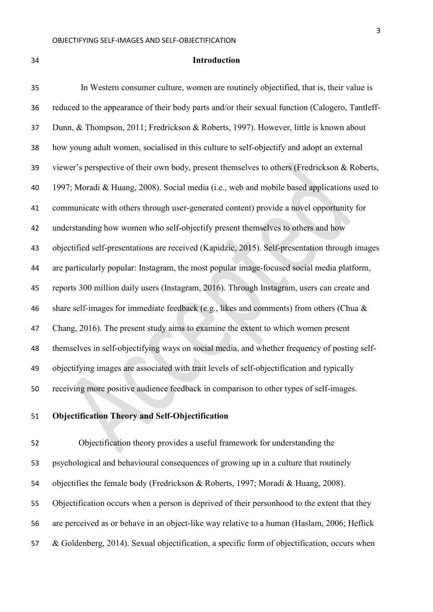## **Introduction**

 In Western consumer culture, women are routinely objectified, that is, their value is reduced to the appearance of their body parts and/or their sexual function (Calogero, Tantleff- Dunn, & Thompson, 2011; Fredrickson & Roberts, 1997). However, little is known about how young adult women, socialised in this culture to self-objectify and adopt an external viewer's perspective of their own body, present themselves to others (Fredrickson & Roberts, 1997; Moradi & Huang, 2008). Social media (i.e., web and mobile based applications used to communicate with others through user-generated content) provide a novel opportunity for understanding how women who self-objectify present themselves to others and how objectified self-presentations are received (Kapidzic, 2015). Self-presentation through images are particularly popular: Instagram, the most popular image-focused social media platform, reports 300 million daily users (Instagram, 2016). Through Instagram, users can create and share self-images for immediate feedback (e.g., likes and comments) from others (Chua & Chang, 2016). The present study aims to examine the extent to which women present themselves in self-objectifying ways on social media, and whether frequency of posting self- objectifying images are associated with trait levels of self-objectification and typically receiving more positive audience feedback in comparison to other types of self-images.

## **Objectification Theory and Self-Objectification**

 Objectification theory provides a useful framework for understanding the psychological and behavioural consequences of growing up in a culture that routinely objectifies the female body (Fredrickson & Roberts, 1997; Moradi & Huang, 2008). Objectification occurs when a person is deprived of their personhood to the extent that they are perceived as or behave in an object-like way relative to a human (Haslam, 2006; Heflick & Goldenberg, 2014). Sexual objectification, a specific form of objectification, occurs when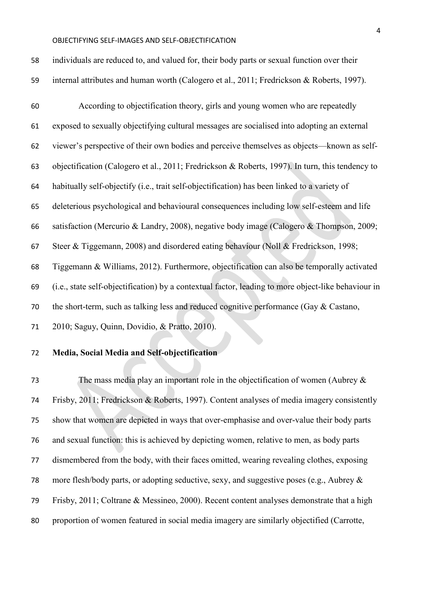| 58 | individuals are reduced to, and valued for, their body parts or sexual function over their          |
|----|-----------------------------------------------------------------------------------------------------|
| 59 | internal attributes and human worth (Calogero et al., 2011; Fredrickson & Roberts, 1997).           |
| 60 | According to objectification theory, girls and young women who are repeatedly                       |
| 61 | exposed to sexually objectifying cultural messages are socialised into adopting an external         |
| 62 | viewer's perspective of their own bodies and perceive themselves as objects—known as self-          |
| 63 | objectification (Calogero et al., 2011; Fredrickson & Roberts, 1997). In turn, this tendency to     |
| 64 | habitually self-objectify (i.e., trait self-objectification) has been linked to a variety of        |
| 65 | deleterious psychological and behavioural consequences including low self-esteem and life           |
| 66 | satisfaction (Mercurio & Landry, 2008), negative body image (Calogero & Thompson, 2009;             |
| 67 | Steer & Tiggemann, 2008) and disordered eating behaviour (Noll & Fredrickson, 1998;                 |
| 68 | Tiggemann & Williams, 2012). Furthermore, objectification can also be temporally activated          |
| 69 | (i.e., state self-objectification) by a contextual factor, leading to more object-like behaviour in |
| 70 | the short-term, such as talking less and reduced cognitive performance (Gay & Castano,              |
| 71 | 2010; Saguy, Quinn, Dovidio, & Pratto, 2010).                                                       |

## **Media, Social Media and Self-objectification**

 The mass media play an important role in the objectification of women (Aubrey & Frisby, 2011; Fredrickson & Roberts, 1997). Content analyses of media imagery consistently show that women are depicted in ways that over-emphasise and over-value their body parts and sexual function: this is achieved by depicting women, relative to men, as body parts dismembered from the body, with their faces omitted, wearing revealing clothes, exposing more flesh/body parts, or adopting seductive, sexy, and suggestive poses (e.g., Aubrey & Frisby, 2011; Coltrane & Messineo, 2000). Recent content analyses demonstrate that a high proportion of women featured in social media imagery are similarly objectified (Carrotte,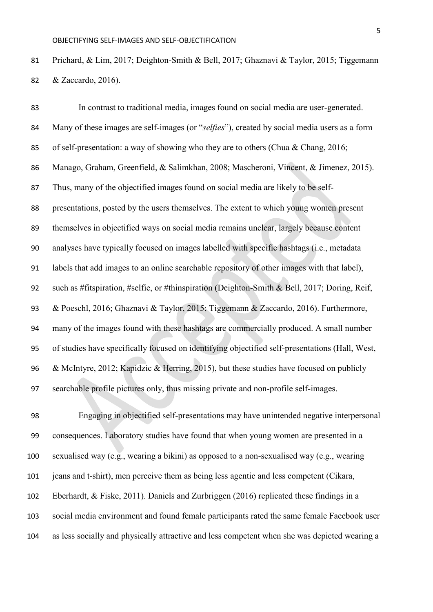Prichard, & Lim, 2017; Deighton-Smith & Bell, 2017; Ghaznavi & Taylor, 2015; Tiggemann & Zaccardo, 2016).

 In contrast to traditional media, images found on social media are user-generated. Many of these images are self-images (or "*selfies*"), created by social media users as a form of self-presentation: a way of showing who they are to others (Chua & Chang, 2016; Manago, Graham, Greenfield, & Salimkhan, 2008; Mascheroni, Vincent, & Jimenez, 2015). Thus, many of the objectified images found on social media are likely to be self- presentations, posted by the users themselves. The extent to which young women present themselves in objectified ways on social media remains unclear, largely because content analyses have typically focused on images labelled with specific hashtags (i.e., metadata labels that add images to an online searchable repository of other images with that label), such as #fitspiration, #selfie, or #thinspiration (Deighton-Smith & Bell, 2017; Doring, Reif, & Poeschl, 2016; Ghaznavi & Taylor, 2015; Tiggemann & Zaccardo, 2016). Furthermore, many of the images found with these hashtags are commercially produced. A small number of studies have specifically focused on identifying objectified self-presentations (Hall, West, & McIntyre, 2012; Kapidzic & Herring, 2015), but these studies have focused on publicly searchable profile pictures only, thus missing private and non-profile self-images.

 Engaging in objectified self-presentations may have unintended negative interpersonal consequences. Laboratory studies have found that when young women are presented in a sexualised way (e.g., wearing a bikini) as opposed to a non-sexualised way (e.g., wearing jeans and t-shirt), men perceive them as being less agentic and less competent (Cikara, Eberhardt, & Fiske, 2011). Daniels and Zurbriggen (2016) replicated these findings in a social media environment and found female participants rated the same female Facebook user as less socially and physically attractive and less competent when she was depicted wearing a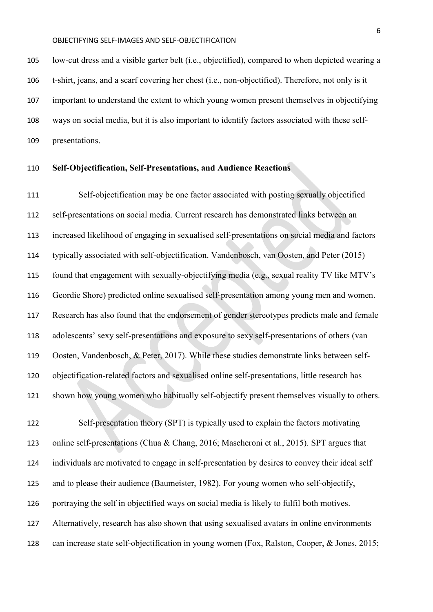low-cut dress and a visible garter belt (i.e., objectified), compared to when depicted wearing a t-shirt, jeans, and a scarf covering her chest (i.e., non-objectified). Therefore, not only is it important to understand the extent to which young women present themselves in objectifying ways on social media, but it is also important to identify factors associated with these self-presentations.

## **Self-Objectification, Self-Presentations, and Audience Reactions**

 Self-objectification may be one factor associated with posting sexually objectified self-presentations on social media. Current research has demonstrated links between an increased likelihood of engaging in sexualised self-presentations on social media and factors typically associated with self-objectification. Vandenbosch, van Oosten, and Peter (2015) found that engagement with sexually-objectifying media (e.g., sexual reality TV like MTV's Geordie Shore) predicted online sexualised self-presentation among young men and women. Research has also found that the endorsement of gender stereotypes predicts male and female adolescents' sexy self-presentations and exposure to sexy self-presentations of others (van Oosten, Vandenbosch, & Peter, 2017). While these studies demonstrate links between self- objectification-related factors and sexualised online self-presentations, little research has shown how young women who habitually self-objectify present themselves visually to others.

 Self-presentation theory (SPT) is typically used to explain the factors motivating online self-presentations (Chua & Chang, 2016; Mascheroni et al., 2015). SPT argues that individuals are motivated to engage in self-presentation by desires to convey their ideal self and to please their audience (Baumeister, 1982). For young women who self-objectify, portraying the self in objectified ways on social media is likely to fulfil both motives. Alternatively, research has also shown that using sexualised avatars in online environments can increase state self-objectification in young women (Fox, Ralston, Cooper, & Jones, 2015;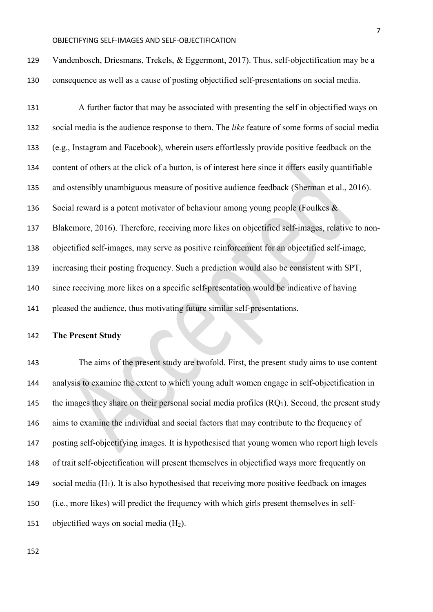| 129 | Vandenbosch, Driesmans, Trekels, & Eggermont, 2017). Thus, self-objectification may be a            |
|-----|-----------------------------------------------------------------------------------------------------|
| 130 | consequence as well as a cause of posting objectified self-presentations on social media.           |
| 131 | A further factor that may be associated with presenting the self in objectified ways on             |
| 132 | social media is the audience response to them. The like feature of some forms of social media       |
| 133 | (e.g., Instagram and Facebook), wherein users effortlessly provide positive feedback on the         |
| 134 | content of others at the click of a button, is of interest here since it offers easily quantifiable |
| 135 | and ostensibly unambiguous measure of positive audience feedback (Sherman et al., 2016).            |
| 136 | Social reward is a potent motivator of behaviour among young people (Foulkes $\&$                   |
| 137 | Blakemore, 2016). Therefore, receiving more likes on objectified self-images, relative to non-      |
| 138 | objectified self-images, may serve as positive reinforcement for an objectified self-image,         |
| 139 | increasing their posting frequency. Such a prediction would also be consistent with SPT,            |
| 140 | since receiving more likes on a specific self-presentation would be indicative of having            |

pleased the audience, thus motivating future similar self-presentations.

## **The Present Study**

 The aims of the present study are twofold. First, the present study aims to use content analysis to examine the extent to which young adult women engage in self-objectification in 145 the images they share on their personal social media profiles  $(RQ_1)$ . Second, the present study aims to examine the individual and social factors that may contribute to the frequency of posting self-objectifying images. It is hypothesised that young women who report high levels of trait self-objectification will present themselves in objectified ways more frequently on 149 social media  $(H_1)$ . It is also hypothesised that receiving more positive feedback on images (i.e., more likes) will predict the frequency with which girls present themselves in self-151 objectified ways on social media  $(H_2)$ .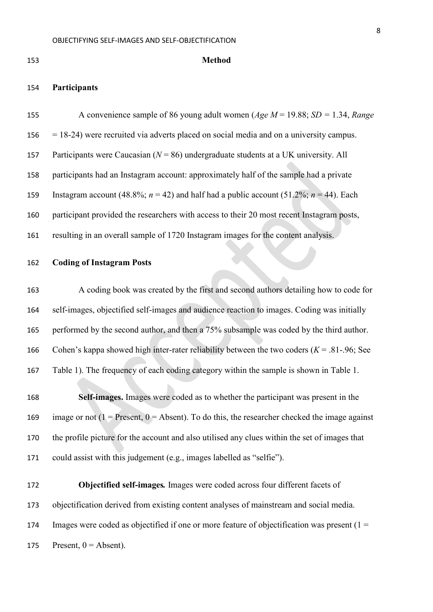**Participants** 

## **Method**

 A convenience sample of 86 young adult women (*Age M* = 19.88; *SD =* 1.34, *Range*  $156 = 18-24$ ) were recruited via adverts placed on social media and on a university campus. Participants were Caucasian (*N* = 86) undergraduate students at a UK university. All participants had an Instagram account: approximately half of the sample had a private 159 Instagram account  $(48.8\%; n = 42)$  and half had a public account  $(51.2\%; n = 44)$ . Each participant provided the researchers with access to their 20 most recent Instagram posts, resulting in an overall sample of 1720 Instagram images for the content analysis.

#### **Coding of Instagram Posts**

 A coding book was created by the first and second authors detailing how to code for self-images, objectified self-images and audience reaction to images. Coding was initially 165 performed by the second author, and then a 75% subsample was coded by the third author. Cohen's kappa showed high inter-rater reliability between the two coders (*Κ* = .81-.96; See Table 1). The frequency of each coding category within the sample is shown in Table 1.

 **Self-images.** Images were coded as to whether the participant was present in the 169 image or not  $(1 =$  Present,  $0 =$  Absent). To do this, the researcher checked the image against the profile picture for the account and also utilised any clues within the set of images that could assist with this judgement (e.g., images labelled as "selfie").

 **Objectified self-images***.* Images were coded across four different facets of objectification derived from existing content analyses of mainstream and social media. 174 Images were coded as objectified if one or more feature of objectification was present  $(1 =$ 175 Present,  $0 =$  Absent).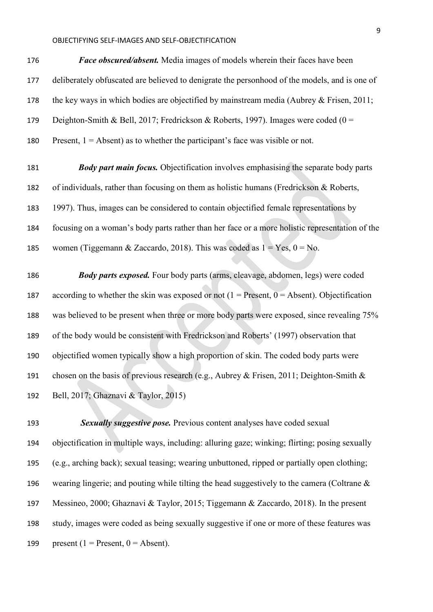*Face obscured/absent.* Media images of models wherein their faces have been deliberately obfuscated are believed to denigrate the personhood of the models, and is one of 178 the key ways in which bodies are objectified by mainstream media (Aubrey & Frisen, 2011; 179 Deighton-Smith & Bell, 2017; Fredrickson & Roberts, 1997). Images were coded (0 = 180 Present,  $1 =$  Absent) as to whether the participant's face was visible or not.

 *Body part main focus.* Objectification involves emphasising the separate body parts of individuals, rather than focusing on them as holistic humans (Fredrickson & Roberts, 1997). Thus, images can be considered to contain objectified female representations by focusing on a woman's body parts rather than her face or a more holistic representation of the 185 women (Tiggemann & Zaccardo, 2018). This was coded as  $1 = Yes$ ,  $0 = No$ .

 *Body parts exposed.* Four body parts (arms, cleavage, abdomen, legs) were coded 187 according to whether the skin was exposed or not  $(1 =$  Present,  $0 =$  Absent). Objectification was believed to be present when three or more body parts were exposed, since revealing 75% of the body would be consistent with Fredrickson and Roberts' (1997) observation that objectified women typically show a high proportion of skin. The coded body parts were 191 chosen on the basis of previous research (e.g., Aubrey & Frisen, 2011; Deighton-Smith & Bell, 2017; Ghaznavi & Taylor, 2015)

 *Sexually suggestive pose.* Previous content analyses have coded sexual objectification in multiple ways, including: alluring gaze; winking; flirting; posing sexually (e.g., arching back); sexual teasing; wearing unbuttoned, ripped or partially open clothing; wearing lingerie; and pouting while tilting the head suggestively to the camera (Coltrane & Messineo, 2000; Ghaznavi & Taylor, 2015; Tiggemann & Zaccardo, 2018). In the present study, images were coded as being sexually suggestive if one or more of these features was 199 present (1 = Present,  $0 =$  Absent).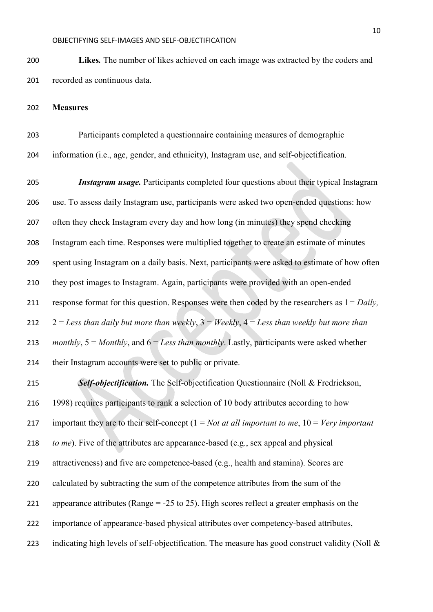**Likes***.* The number of likes achieved on each image was extracted by the coders and recorded as continuous data.

**Measures**

 Participants completed a questionnaire containing measures of demographic information (i.e., age, gender, and ethnicity), Instagram use, and self-objectification.

 *Instagram usage.* Participants completed four questions about their typical Instagram use. To assess daily Instagram use, participants were asked two open-ended questions: how often they check Instagram every day and how long (in minutes) they spend checking Instagram each time. Responses were multiplied together to create an estimate of minutes spent using Instagram on a daily basis. Next, participants were asked to estimate of how often they post images to Instagram. Again, participants were provided with an open-ended response format for this question. Responses were then coded by the researchers as 1*= Daily,*  2 = *Less than daily but more than weekly*, 3 = *Weekly*, 4 = *Less than weekly but more than monthly*, 5 = *Monthly*, and 6 = *Less than monthly*. Lastly, participants were asked whether their Instagram accounts were set to public or private.

 *Self-objectification.* The Self-objectification Questionnaire (Noll & Fredrickson, 1998) requires participants to rank a selection of 10 body attributes according to how important they are to their self-concept (1 = *Not at all important to me*, 10 = *Very important to me*). Five of the attributes are appearance-based (e.g., sex appeal and physical attractiveness) and five are competence-based (e.g., health and stamina). Scores are 220 calculated by subtracting the sum of the competence attributes from the sum of the appearance attributes (Range = -25 to 25). High scores reflect a greater emphasis on the importance of appearance-based physical attributes over competency-based attributes, 223 indicating high levels of self-objectification. The measure has good construct validity (Noll  $\&$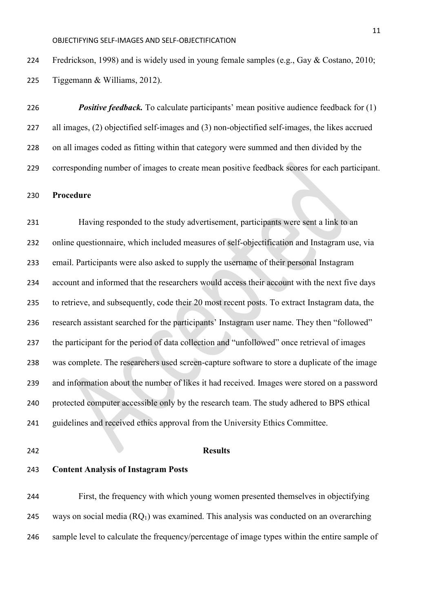224 Fredrickson, 1998) and is widely used in young female samples (e.g., Gay & Costano, 2010; Tiggemann & Williams, 2012).

 *Positive feedback.* To calculate participants' mean positive audience feedback for (1) all images, (2) objectified self-images and (3) non-objectified self-images, the likes accrued on all images coded as fitting within that category were summed and then divided by the corresponding number of images to create mean positive feedback scores for each participant.

### **Procedure**

 Having responded to the study advertisement, participants were sent a link to an online questionnaire, which included measures of self-objectification and Instagram use, via email. Participants were also asked to supply the username of their personal Instagram account and informed that the researchers would access their account with the next five days to retrieve, and subsequently, code their 20 most recent posts. To extract Instagram data, the research assistant searched for the participants' Instagram user name. They then "followed" the participant for the period of data collection and "unfollowed" once retrieval of images was complete. The researchers used screen-capture software to store a duplicate of the image and information about the number of likes it had received. Images were stored on a password protected computer accessible only by the research team. The study adhered to BPS ethical guidelines and received ethics approval from the University Ethics Committee.

## **Results**

**Content Analysis of Instagram Posts** 

 First, the frequency with which young women presented themselves in objectifying 245 ways on social media  $(RQ_1)$  was examined. This analysis was conducted on an overarching sample level to calculate the frequency/percentage of image types within the entire sample of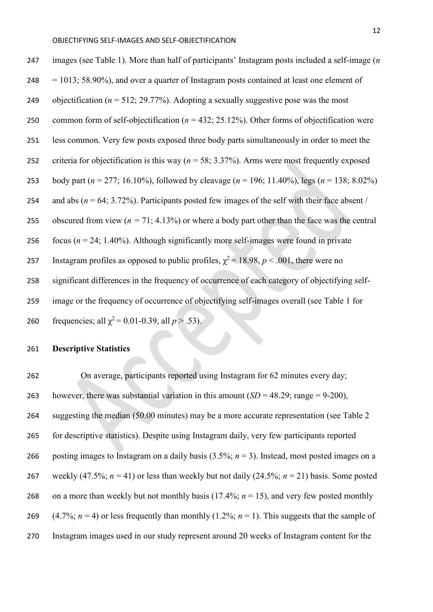| 247 | images (see Table 1). More than half of participants' Instagram posts included a self-image (n         |
|-----|--------------------------------------------------------------------------------------------------------|
| 248 | $=$ 1013; 58.90%), and over a quarter of Instagram posts contained at least one element of             |
| 249 | objectification ( $n = 512$ ; 29.77%). Adopting a sexually suggestive pose was the most                |
| 250 | common form of self-objectification ( $n = 432$ ; 25.12%). Other forms of objectification were         |
| 251 | less common. Very few posts exposed three body parts simultaneously in order to meet the               |
| 252 | criteria for objectification is this way ( $n = 58$ ; 3.37%). Arms were most frequently exposed        |
| 253 | body part ( $n = 277$ ; 16.10%), followed by cleavage ( $n = 196$ ; 11.40%), legs ( $n = 138$ ; 8.02%) |
| 254 | and abs ( $n = 64$ ; 3.72%). Participants posted few images of the self with their face absent /       |
| 255 | obscured from view ( $n = 71$ ; 4.13%) or where a body part other than the face was the central        |
| 256 | focus ( $n = 24$ ; 1.40%). Although significantly more self-images were found in private               |
| 257 | Instagram profiles as opposed to public profiles, $\chi^2$ = 18.98, p < .001, there were no            |
| 258 | significant differences in the frequency of occurrence of each category of objectifying self-          |
| 259 | image or the frequency of occurrence of objectifying self-images overall (see Table 1 for              |
| 260 | frequencies; all $\chi^2$ = 0.01-0.39, all $p > .53$ ).                                                |

## **Descriptive Statistics**

 On average, participants reported using Instagram for 62 minutes every day; 263 however, there was substantial variation in this amount  $(SD = 48.29$ ; range = 9-200), suggesting the median (50.00 minutes) may be a more accurate representation (see Table 2 for descriptive statistics). Despite using Instagram daily, very few participants reported 266 posting images to Instagram on a daily basis  $(3.5\%; n = 3)$ . Instead, most posted images on a 267 weekly (47.5%;  $n = 41$ ) or less than weekly but not daily (24.5%;  $n = 21$ ) basis. Some posted 268 on a more than weekly but not monthly basis  $(17.4\%; n = 15)$ , and very few posted monthly 269 (4.7%;  $n = 4$ ) or less frequently than monthly (1.2%;  $n = 1$ ). This suggests that the sample of Instagram images used in our study represent around 20 weeks of Instagram content for the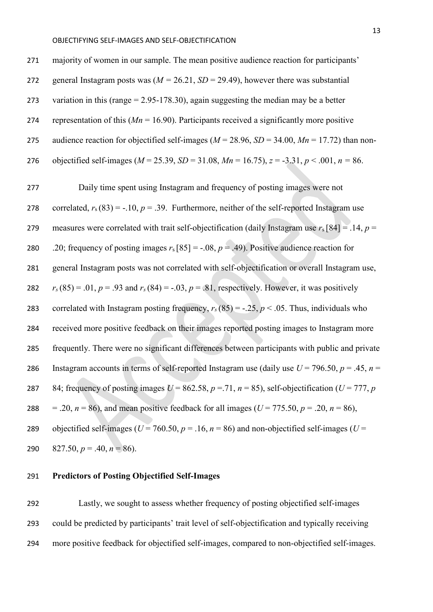271 majority of women in our sample. The mean positive audience reaction for participants' 272 general Instagram posts was  $(M = 26.21, SD = 29.49)$ , however there was substantial 273 variation in this (range  $= 2.95 - 178.30$ ), again suggesting the median may be a better 274 representation of this (*Mn* = 16.90). Participants received a significantly more positive 275 audience reaction for objectified self-images ( $M = 28.96$ ,  $SD = 34.00$ ,  $Mn = 17.72$ ) than non-276 objectified self-images (*M* = 25.39, *SD* = 31.08, *Mn* = 16.75), *z* = -3.31, *p* < .001, *n =* 86.

277 Daily time spent using Instagram and frequency of posting images were not 278 correlated,  $r_s(83) = -.10$ ,  $p = .39$ . Furthermore, neither of the self-reported Instagram use 279 measures were correlated with trait self-objectification (daily Instagram use *r*s [84] = .14, *p* = 280 .20; frequency of posting images  $r_s$  [85] = -.08,  $p = .49$ ). Positive audience reaction for 281 general Instagram posts was not correlated with self-objectification or overall Instagram use, 282  $r_s(85) = .01, p = .93$  and  $r_s(84) = -.03, p = .81$ , respectively. However, it was positively 283 correlated with Instagram posting frequency,  $r_s(85) = -.25$ ,  $p < .05$ . Thus, individuals who 284 received more positive feedback on their images reported posting images to Instagram more 285 frequently. There were no significant differences between participants with public and private 286 Instagram accounts in terms of self-reported Instagram use (daily use  $U = 796.50$ ,  $p = .45$ ,  $n =$ 287 84; frequency of posting images  $U = 862.58$ ,  $p = .71$ ,  $n = 85$ ), self-objectification ( $U = 777$ ,  $p$ 288 = .20,  $n = 86$ ), and mean positive feedback for all images ( $U = 775.50$ ,  $p = .20$ ,  $n = 86$ ), 289 objectified self-images ( $U = 760.50$ ,  $p = .16$ ,  $n = 86$ ) and non-objectified self-images ( $U =$ 290  $827.50, p = .40, n = 86$ .

## 291 **Predictors of Posting Objectified Self-Images**

292 Lastly, we sought to assess whether frequency of posting objectified self-images 293 could be predicted by participants' trait level of self-objectification and typically receiving 294 more positive feedback for objectified self-images, compared to non-objectified self-images.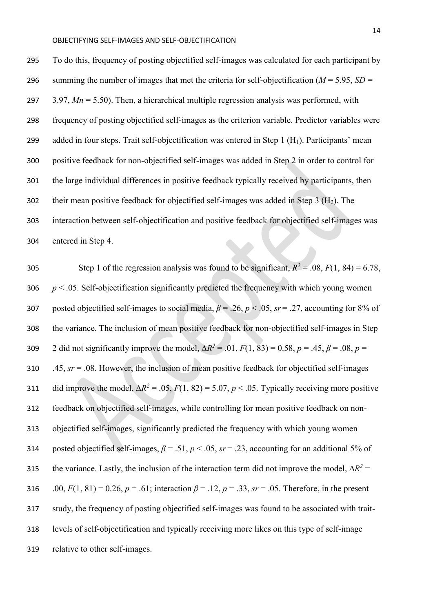To do this, frequency of posting objectified self-images was calculated for each participant by 296 summing the number of images that met the criteria for self-objectification ( $M = 5.95$ ,  $SD =$  3.97, *Mn* = 5.50). Then, a hierarchical multiple regression analysis was performed, with frequency of posting objectified self-images as the criterion variable. Predictor variables were 299 added in four steps. Trait self-objectification was entered in Step 1  $(H_1)$ . Participants' mean positive feedback for non-objectified self-images was added in Step 2 in order to control for the large individual differences in positive feedback typically received by participants, then 302 their mean positive feedback for objectified self-images was added in Step 3  $(H<sub>2</sub>)$ . The interaction between self-objectification and positive feedback for objectified self-images was entered in Step 4.

Step 1 of the regression analysis was found to be significant,  $R^2 = .08$ ,  $F(1, 84) = 6.78$ ,  $p < .05$ . Self-objectification significantly predicted the frequency with which young women posted objectified self-images to social media, *β* = .26, *p* < .05, *sr* = .27, accounting for 8% of the variance. The inclusion of mean positive feedback for non-objectified self-images in Step 2 did not significantly improve the model,  $\Delta R^2 = .01$ ,  $F(1, 83) = 0.58$ ,  $p = .45$ ,  $\beta = .08$ ,  $p = .08$  .45, *sr* = .08. However, the inclusion of mean positive feedback for objectified self-images 311 did improve the model,  $\Delta R^2 = .05$ ,  $F(1, 82) = 5.07$ ,  $p < .05$ . Typically receiving more positive feedback on objectified self-images, while controlling for mean positive feedback on non- objectified self-images, significantly predicted the frequency with which young women 314 posted objectified self-images,  $\beta = .51$ ,  $p < .05$ ,  $sr = .23$ , accounting for an additional 5% of the variance. Lastly, the inclusion of the interaction term did not improve the model,  $\Delta R^2$  = 316 .00,  $F(1, 81) = 0.26$ ,  $p = .61$ ; interaction  $\beta = .12$ ,  $p = .33$ ,  $sr = .05$ . Therefore, in the present study, the frequency of posting objectified self-images was found to be associated with trait- levels of self-objectification and typically receiving more likes on this type of self-image relative to other self-images.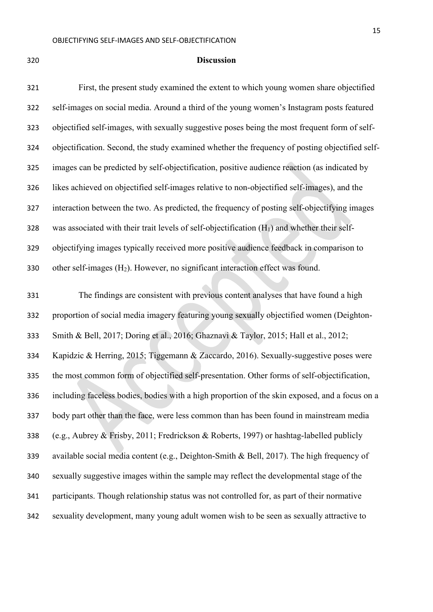#### **Discussion**

 First, the present study examined the extent to which young women share objectified self-images on social media. Around a third of the young women's Instagram posts featured objectified self-images, with sexually suggestive poses being the most frequent form of self- objectification. Second, the study examined whether the frequency of posting objectified self- images can be predicted by self-objectification, positive audience reaction (as indicated by likes achieved on objectified self-images relative to non-objectified self-images), and the interaction between the two. As predicted, the frequency of posting self-objectifying images was associated with their trait levels of self-objectification (H1) and whether their self- objectifying images typically received more positive audience feedback in comparison to 330 other self-images  $(H_2)$ . However, no significant interaction effect was found.

 The findings are consistent with previous content analyses that have found a high proportion of social media imagery featuring young sexually objectified women (Deighton- Smith & Bell, 2017; Doring et al., 2016; Ghaznavi & Taylor, 2015; Hall et al., 2012; Kapidzic & Herring, 2015; Tiggemann & Zaccardo, 2016). Sexually-suggestive poses were the most common form of objectified self-presentation. Other forms of self-objectification, including faceless bodies, bodies with a high proportion of the skin exposed, and a focus on a body part other than the face, were less common than has been found in mainstream media (e.g., Aubrey & Frisby, 2011; Fredrickson & Roberts, 1997) or hashtag-labelled publicly available social media content (e.g., Deighton-Smith & Bell, 2017). The high frequency of sexually suggestive images within the sample may reflect the developmental stage of the participants. Though relationship status was not controlled for, as part of their normative sexuality development, many young adult women wish to be seen as sexually attractive to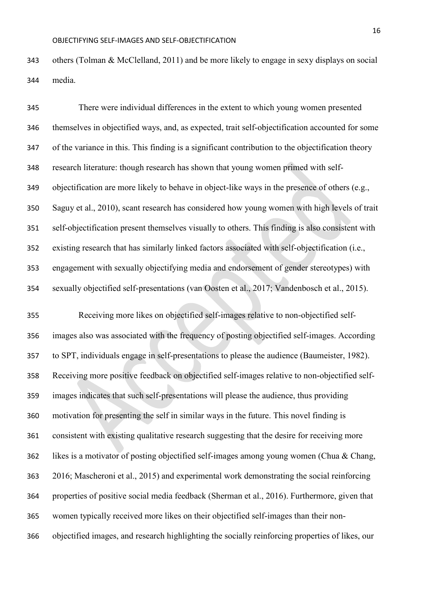others (Tolman & McClelland, 2011) and be more likely to engage in sexy displays on social media.

 There were individual differences in the extent to which young women presented themselves in objectified ways, and, as expected, trait self-objectification accounted for some of the variance in this. This finding is a significant contribution to the objectification theory research literature: though research has shown that young women primed with self- objectification are more likely to behave in object-like ways in the presence of others (e.g., Saguy et al., 2010), scant research has considered how young women with high levels of trait self-objectification present themselves visually to others. This finding is also consistent with existing research that has similarly linked factors associated with self-objectification (i.e., engagement with sexually objectifying media and endorsement of gender stereotypes) with sexually objectified self-presentations (van Oosten et al., 2017; Vandenbosch et al., 2015).

 Receiving more likes on objectified self-images relative to non-objectified self- images also was associated with the frequency of posting objectified self-images. According to SPT, individuals engage in self-presentations to please the audience (Baumeister, 1982). Receiving more positive feedback on objectified self-images relative to non-objectified self- images indicates that such self-presentations will please the audience, thus providing motivation for presenting the self in similar ways in the future. This novel finding is consistent with existing qualitative research suggesting that the desire for receiving more likes is a motivator of posting objectified self-images among young women (Chua & Chang, 2016; Mascheroni et al., 2015) and experimental work demonstrating the social reinforcing properties of positive social media feedback (Sherman et al., 2016). Furthermore, given that women typically received more likes on their objectified self-images than their non-objectified images, and research highlighting the socially reinforcing properties of likes, our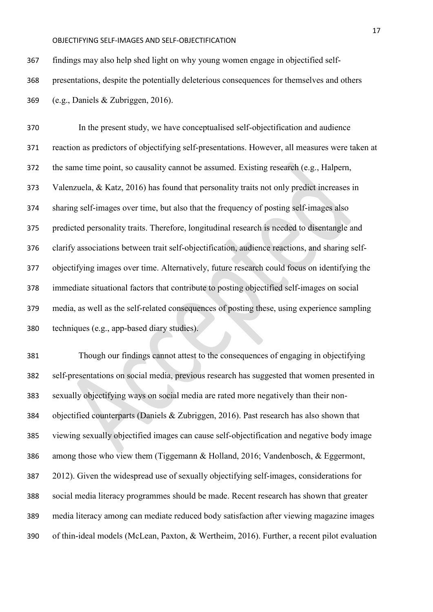findings may also help shed light on why young women engage in objectified self-

presentations, despite the potentially deleterious consequences for themselves and others

(e.g., Daniels & Zubriggen, 2016).

 In the present study, we have conceptualised self-objectification and audience reaction as predictors of objectifying self-presentations. However, all measures were taken at the same time point, so causality cannot be assumed. Existing research (e.g., Halpern, Valenzuela, & Katz, 2016) has found that personality traits not only predict increases in sharing self-images over time, but also that the frequency of posting self-images also predicted personality traits. Therefore, longitudinal research is needed to disentangle and clarify associations between trait self-objectification, audience reactions, and sharing self- objectifying images over time. Alternatively, future research could focus on identifying the immediate situational factors that contribute to posting objectified self-images on social media, as well as the self-related consequences of posting these, using experience sampling techniques (e.g., app-based diary studies).

 Though our findings cannot attest to the consequences of engaging in objectifying self-presentations on social media, previous research has suggested that women presented in sexually objectifying ways on social media are rated more negatively than their non- objectified counterparts (Daniels & Zubriggen, 2016). Past research has also shown that viewing sexually objectified images can cause self-objectification and negative body image among those who view them (Tiggemann & Holland, 2016; Vandenbosch, & Eggermont, 2012). Given the widespread use of sexually objectifying self-images, considerations for social media literacy programmes should be made. Recent research has shown that greater media literacy among can mediate reduced body satisfaction after viewing magazine images of thin-ideal models (McLean, Paxton, & Wertheim, 2016). Further, a recent pilot evaluation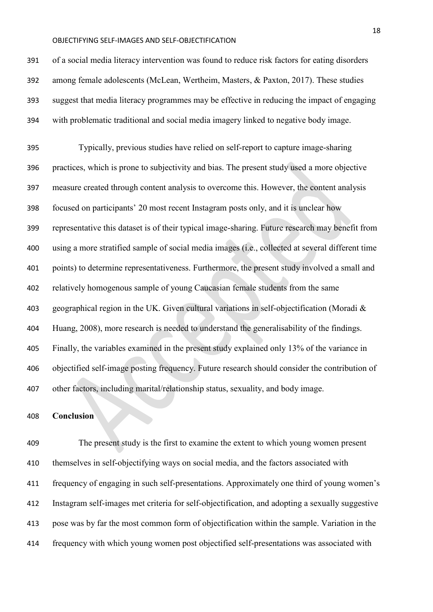of a social media literacy intervention was found to reduce risk factors for eating disorders among female adolescents (McLean, Wertheim, Masters, & Paxton, 2017). These studies suggest that media literacy programmes may be effective in reducing the impact of engaging with problematic traditional and social media imagery linked to negative body image.

 Typically, previous studies have relied on self-report to capture image-sharing practices, which is prone to subjectivity and bias. The present study used a more objective measure created through content analysis to overcome this. However, the content analysis focused on participants' 20 most recent Instagram posts only, and it is unclear how representative this dataset is of their typical image-sharing. Future research may benefit from using a more stratified sample of social media images (i.e., collected at several different time points) to determine representativeness. Furthermore, the present study involved a small and relatively homogenous sample of young Caucasian female students from the same geographical region in the UK. Given cultural variations in self-objectification (Moradi & Huang, 2008), more research is needed to understand the generalisability of the findings. Finally, the variables examined in the present study explained only 13% of the variance in objectified self-image posting frequency. Future research should consider the contribution of other factors, including marital/relationship status, sexuality, and body image.

#### **Conclusion**

 The present study is the first to examine the extent to which young women present themselves in self-objectifying ways on social media, and the factors associated with frequency of engaging in such self-presentations. Approximately one third of young women's Instagram self-images met criteria for self-objectification, and adopting a sexually suggestive pose was by far the most common form of objectification within the sample. Variation in the frequency with which young women post objectified self-presentations was associated with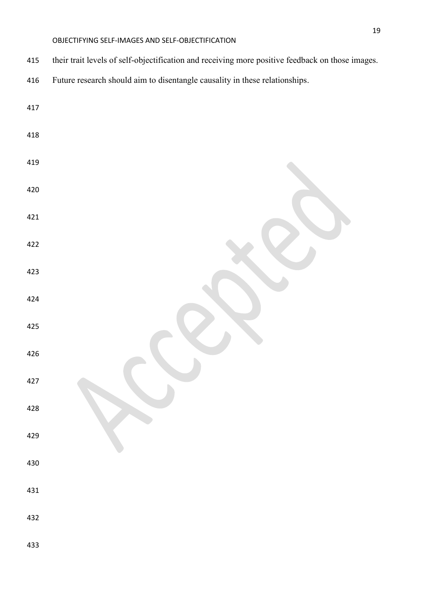- their trait levels of self-objectification and receiving more positive feedback on those images.
- Future research should aim to disentangle causality in these relationships.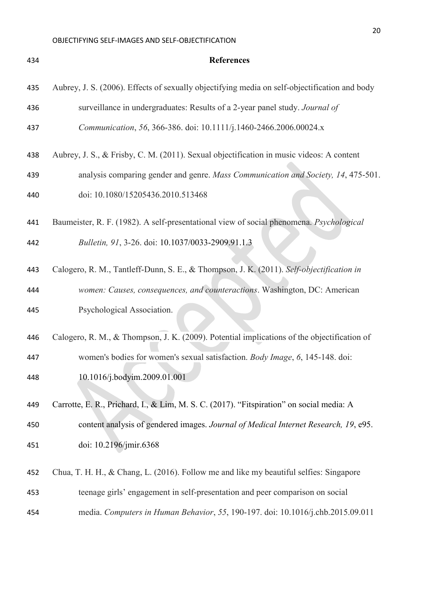| 434 | <b>References</b>                                                                             |
|-----|-----------------------------------------------------------------------------------------------|
| 435 | Aubrey, J. S. (2006). Effects of sexually objectifying media on self-objectification and body |
| 436 | surveillance in undergraduates: Results of a 2-year panel study. Journal of                   |
| 437 | Communication, 56, 366-386. doi: 10.1111/j.1460-2466.2006.00024.x                             |
| 438 | Aubrey, J. S., & Frisby, C. M. (2011). Sexual objectification in music videos: A content      |
| 439 | analysis comparing gender and genre. Mass Communication and Society, 14, 475-501.             |
| 440 | doi: 10.1080/15205436.2010.513468                                                             |
| 441 | Baumeister, R. F. (1982). A self-presentational view of social phenomena. Psychological       |
| 442 | Bulletin, 91, 3-26. doi: 10.1037/0033-2909.91.1.3                                             |
| 443 | Calogero, R. M., Tantleff-Dunn, S. E., & Thompson, J. K. (2011). Self-objectification in      |
| 444 | women: Causes, consequences, and counteractions. Washington, DC: American                     |
| 445 | Psychological Association.                                                                    |
| 446 | Calogero, R. M., & Thompson, J. K. (2009). Potential implications of the objectification of   |
| 447 | women's bodies for women's sexual satisfaction. Body Image, 6, 145-148. doi:                  |
| 448 | 10.1016/j.bodyim.2009.01.001                                                                  |
| 449 | Carrotte, E. R., Prichard, I., & Lim, M. S. C. (2017). "Fitspiration" on social media: A      |
| 450 | content analysis of gendered images. Journal of Medical Internet Research, 19, e95.           |
| 451 | doi: 10.2196/jmir.6368                                                                        |
| 452 | Chua, T. H. H., & Chang, L. (2016). Follow me and like my beautiful selfies: Singapore        |
| 453 | teenage girls' engagement in self-presentation and peer comparison on social                  |
| 454 | media. Computers in Human Behavior, 55, 190-197. doi: 10.1016/j.chb.2015.09.011               |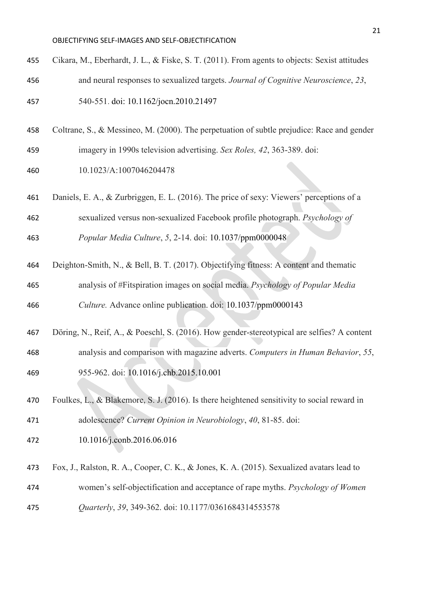- Cikara, M., Eberhardt, J. L., & Fiske, S. T. (2011). From agents to objects: Sexist attitudes and neural responses to sexualized targets. *Journal of Cognitive Neuroscience*, *23*, 540-551. doi: [10.1162/jocn.2010.21497](https://doi.org/10.1162/jocn.2010.21497)
- Coltrane, S., & Messineo, M. (2000). The perpetuation of subtle prejudice: Race and gender
- imagery in 1990s television advertising. *Sex Roles, 42*, 363-389. doi:
- 10.1023/A:1007046204478
- Daniels, E. A., & Zurbriggen, E. L. (2016). The price of sexy: Viewers' perceptions of a
- sexualized versus non-sexualized Facebook profile photograph. *Psychology of*
- *Popular Media Culture*, *5*, 2-14. doi: [10.1037/ppm0000048](http://psycnet.apa.org/doi/10.1037/ppm0000048)
- Deighton-Smith, N., & Bell, B. T. (2017). Objectifying fitness: A content and thematic analysis of #Fitspiration images on social media. *Psychology of Popular Media*
- *Culture.* Advance online publication. doi: [10.1037/ppm0000143](http://psycnet.apa.org/doi/10.1037/ppm0000143)
- Döring, N., Reif, A., & Poeschl, S. (2016). How gender-stereotypical are selfies? A content analysis and comparison with magazine adverts. *Computers in Human Behavior*, *55*, 955-962. doi: [10.1016/j.chb.2015.10.001](https://doi.org/10.1016/j.chb.2015.10.001)
- Foulkes, L., & Blakemore, S. J. (2016). Is there heightened sensitivity to social reward in adolescence? *Current Opinion in Neurobiology*, *40*, 81-85. doi:
- [10.1016/j.conb.2016.06.016](https://doi.org/10.1016/j.conb.2016.06.016)
- Fox, J., Ralston, R. A., Cooper, C. K., & Jones, K. A. (2015). Sexualized avatars lead to
- women's self-objectification and acceptance of rape myths. *Psychology of Women*
- *Quarterly*, *39*, 349-362. doi: 10.1177/0361684314553578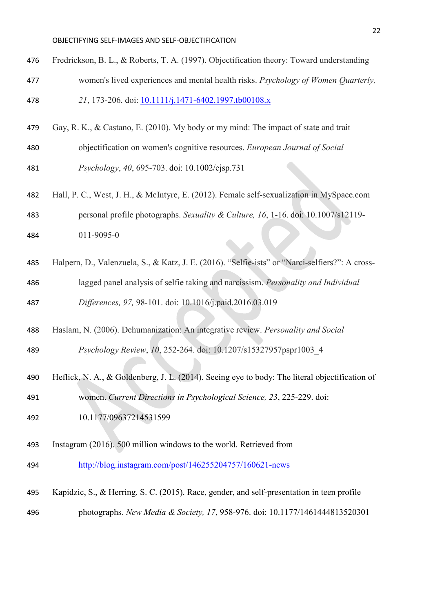- Fredrickson, B. L., & Roberts, T. A. (1997). Objectification theory: Toward understanding women's lived experiences and mental health risks. *Psychology of Women Quarterly,*
- *21*, 173-206. doi: [10.1111/j.1471-6402.1997.tb00108.x](https://doi.org/10.1111/j.1471-6402.1997.tb00108.x)
- Gay, R. K., & Castano, E. (2010). My body or my mind: The impact of state and trait
- objectification on women's cognitive resources. *European Journal of Social Psychology*, *40*, 695-703. doi: 10.1002/ejsp.731
- Hall, P. C., West, J. H., & McIntyre, E. (2012). Female self-sexualization in MySpace.com personal profile photographs. *Sexuality & Culture, 16*, 1-16. doi: 10.1007/s12119- 011-9095-0
- Halpern, D., Valenzuela, S., & Katz, J. E. (2016). "Selfie-ists" or "Narci-selfiers?": A cross-
- lagged panel analysis of selfie taking and narcissism. *Personality and Individual Differences, 97,* 98-101. doi: 10.1016/j.paid.2016.03.019
- Haslam, N. (2006). Dehumanization: An integrative review. *Personality and Social*

*Psychology Review*, *10*, 252-264. doi: 10.1207/s15327957pspr1003\_4

- Heflick, N. A., & Goldenberg, J. L. (2014). Seeing eye to body: The literal objectification of
- women. *Current Directions in Psychological Science, 23*, 225-229. doi:
- 10.1177/09637214531599
- Instagram (2016). 500 million windows to the world. Retrieved from
- <http://blog.instagram.com/post/146255204757/160621-news>
- Kapidzic, S., & Herring, S. C. (2015). Race, gender, and self-presentation in teen profile photographs. *New Media & Society, 17*, 958-976. doi: [10.1177/1461444813520301](https://doi.org/10.1177/1461444813520301)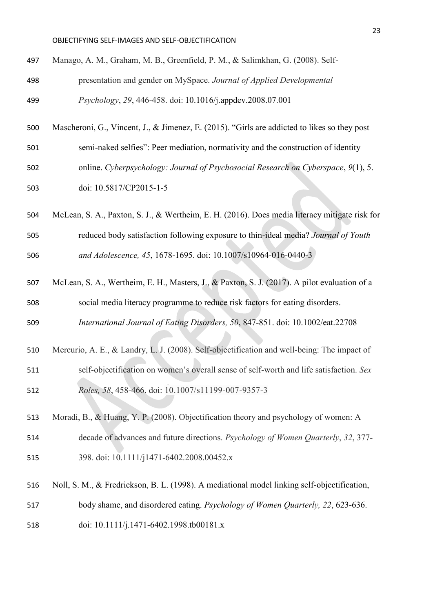- Manago, A. M., Graham, M. B., Greenfield, P. M., & Salimkhan, G. (2008). Self- presentation and gender on MySpace. *Journal of Applied Developmental Psychology*, *29*, 446-458. doi: [10.1016/j.appdev.2008.07.001](https://doi.org/10.1016/j.appdev.2008.07.001)
- 
- semi-naked selfies": Peer mediation, normativity and the construction of identity

Mascheroni, G., Vincent, J., & Jimenez, E. (2015). "Girls are addicted to likes so they post

- online. *Cyberpsychology: Journal of Psychosocial Research on Cyberspace*, *9*(1), 5.
- doi: 10.5817/CP2015-1-5
- McLean, S. A., Paxton, S. J., & Wertheim, E. H. (2016). Does media literacy mitigate risk for reduced body satisfaction following exposure to thin-ideal media? *Journal of Youth and Adolescence, 45*, 1678-1695. doi: 10.1007/s10964-016-0440-3
- McLean, S. A., Wertheim, E. H., Masters, J., & Paxton, S. J. (2017). A pilot evaluation of a social media literacy programme to reduce risk factors for eating disorders.
- *International Journal of Eating Disorders, 50*, 847-851. doi: 10.1002/eat.22708
- Mercurio, A. E., & Landry, L. J. (2008). Self-objectification and well-being: The impact of self-objectification on women's overall sense of self-worth and life satisfaction. *Sex Roles, 58*, 458-466. doi: 10.1007/s11199-007-9357-3
- Moradi, B., & Huang, Y. P. (2008). Objectification theory and psychology of women: A decade of advances and future directions. *Psychology of Women Quarterly*, *32*, 377- 398. doi: 10.1111/j1471-6402.2008.00452.x
- 
- Noll, S. M., & Fredrickson, B. L. (1998). A mediational model linking self-objectification, body shame, and disordered eating. *Psychology of Women Quarterly, 22*, 623-636.
- doi: [10.1111/j.1471-6402.1998.tb00181.x](https://doi.org/10.1111/j.1471-6402.1998.tb00181.x)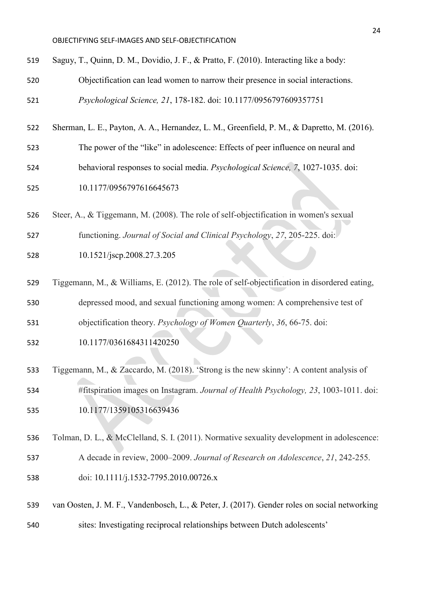| 519 | Saguy, T., Quinn, D. M., Dovidio, J. F., & Pratto, F. (2010). Interacting like a body:       |  |  |  |  |  |  |  |
|-----|----------------------------------------------------------------------------------------------|--|--|--|--|--|--|--|
| 520 | Objectification can lead women to narrow their presence in social interactions.              |  |  |  |  |  |  |  |
| 521 | Psychological Science, 21, 178-182. doi: 10.1177/0956797609357751                            |  |  |  |  |  |  |  |
| 522 | Sherman, L. E., Payton, A. A., Hernandez, L. M., Greenfield, P. M., & Dapretto, M. (2016).   |  |  |  |  |  |  |  |
| 523 | The power of the "like" in adolescence: Effects of peer influence on neural and              |  |  |  |  |  |  |  |
| 524 | behavioral responses to social media. Psychological Science, 7, 1027-1035. doi:              |  |  |  |  |  |  |  |
| 525 | 10.1177/0956797616645673                                                                     |  |  |  |  |  |  |  |
| 526 | Steer, A., & Tiggemann, M. (2008). The role of self-objectification in women's sexual        |  |  |  |  |  |  |  |
| 527 | functioning. Journal of Social and Clinical Psychology, 27, 205-225. doi:                    |  |  |  |  |  |  |  |
| 528 | 10.1521/jscp.2008.27.3.205                                                                   |  |  |  |  |  |  |  |
| 529 | Tiggemann, M., & Williams, E. (2012). The role of self-objectification in disordered eating, |  |  |  |  |  |  |  |
| 530 | depressed mood, and sexual functioning among women: A comprehensive test of                  |  |  |  |  |  |  |  |
| 531 | objectification theory. Psychology of Women Quarterly, 36, 66-75. doi:                       |  |  |  |  |  |  |  |
| 532 | 10.1177/0361684311420250                                                                     |  |  |  |  |  |  |  |
| 533 | Tiggemann, M., & Zaccardo, M. (2018). 'Strong is the new skinny': A content analysis of      |  |  |  |  |  |  |  |
| 534 | #fitspiration images on Instagram. Journal of Health Psychology, 23, 1003-1011. doi:         |  |  |  |  |  |  |  |
| 535 | 10.1177/1359105316639436                                                                     |  |  |  |  |  |  |  |
| 536 | Tolman, D. L., & McClelland, S. I. (2011). Normative sexuality development in adolescence:   |  |  |  |  |  |  |  |
| 537 | A decade in review, 2000–2009. Journal of Research on Adolescence, 21, 242-255.              |  |  |  |  |  |  |  |
| 538 | doi: 10.1111/j.1532-7795.2010.00726.x                                                        |  |  |  |  |  |  |  |
| 539 | van Oosten, J. M. F., Vandenbosch, L., & Peter, J. (2017). Gender roles on social networking |  |  |  |  |  |  |  |
| 540 | sites: Investigating reciprocal relationships between Dutch adolescents'                     |  |  |  |  |  |  |  |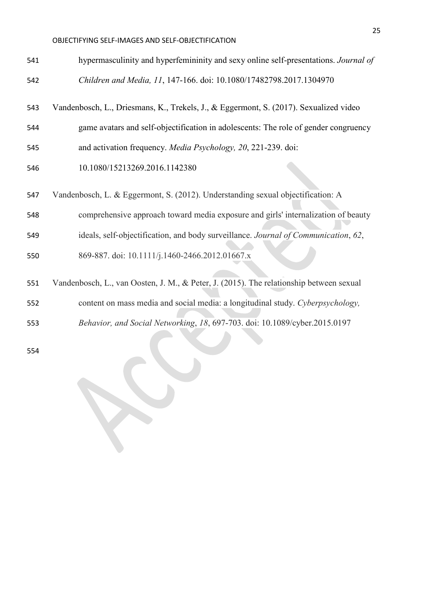| 541 | hypermasculinity and hyperfemininity and sexy online self-presentations. Journal of     |
|-----|-----------------------------------------------------------------------------------------|
| 542 | Children and Media, 11, 147-166. doi: 10.1080/17482798.2017.1304970                     |
| 543 | Vandenbosch, L., Driesmans, K., Trekels, J., & Eggermont, S. (2017). Sexualized video   |
| 544 | game avatars and self-objectification in adolescents: The role of gender congruency     |
| 545 | and activation frequency. Media Psychology, 20, 221-239. doi:                           |
| 546 | 10.1080/15213269.2016.1142380                                                           |
| 547 | Vandenbosch, L. & Eggermont, S. (2012). Understanding sexual objectification: A         |
| 548 | comprehensive approach toward media exposure and girls' internalization of beauty       |
| 549 | ideals, self-objectification, and body surveillance. Journal of Communication, 62,      |
| 550 | 869-887. doi: 10.1111/j.1460-2466.2012.01667.x                                          |
| 551 | Vandenbosch, L., van Oosten, J. M., & Peter, J. (2015). The relationship between sexual |
| 552 | content on mass media and social media: a longitudinal study. Cyberpsychology,          |
| 553 | Behavior, and Social Networking, 18, 697-703. doi: 10.1089/cyber.2015.0197              |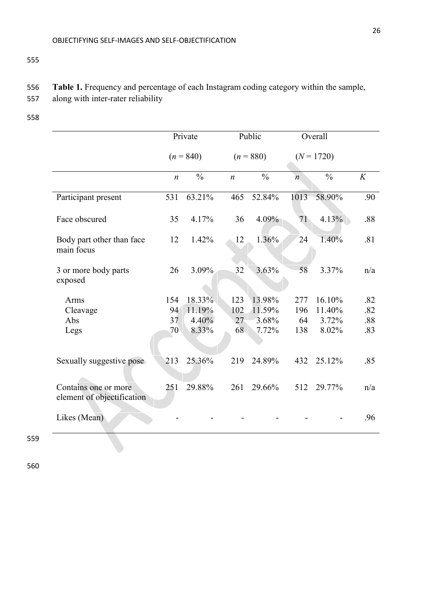555

# 556 **Table 1.** Frequency and percentage of each Instagram coding category within the sample,

557 along with inter-rater reliability

558

|                                                    | Private          |               | Public           |               | Overall          |               |     |
|----------------------------------------------------|------------------|---------------|------------------|---------------|------------------|---------------|-----|
|                                                    | $(n = 840)$      |               | $(n = 880)$      |               | $(N = 1720)$     |               |     |
|                                                    | $\boldsymbol{n}$ | $\frac{0}{0}$ | $\boldsymbol{n}$ | $\frac{0}{0}$ | $\boldsymbol{n}$ | $\frac{0}{0}$ | K   |
| Participant present                                | 531              | 63.21%        | 465              | 52.84%        | 1013             | 58.90%        | .90 |
| Face obscured                                      | 35               | 4.17%         | 36               | 4.09%         | 71               | 4.13%         | .88 |
| Body part other than face<br>main focus            | 12               | 1.42%         | 12               | 1.36%         | 24               | 1.40%         | .81 |
| 3 or more body parts<br>exposed                    | 26               | 3.09%         | 32               | 3.63%         | 58               | 3.37%         | n/a |
| Arms                                               | 154              | 18.33%        | 123              | 13.98%        | 277              | 16.10%        | .82 |
| Cleavage                                           | 94               | 11.19%        | 102              | 11.59%        | 196              | 11.40%        | .82 |
| Abs                                                | 37               | 4.40%         | 27               | 3.68%         | 64               | 3.72%         | .88 |
| Legs                                               | 70               | 8.33%         | 68               | 7.72%         | 138              | 8.02%         | .83 |
| Sexually suggestive pose                           | 213              | 25.36%        | 219              | 24.89%        | 432              | 25.12%        | .85 |
| Contains one or more<br>element of objectification | 251              | 29.88%        | 261              | 29.66%        | 512              | 29.77%        | n/a |
| Likes (Mean)                                       |                  |               |                  |               |                  |               | .96 |

559